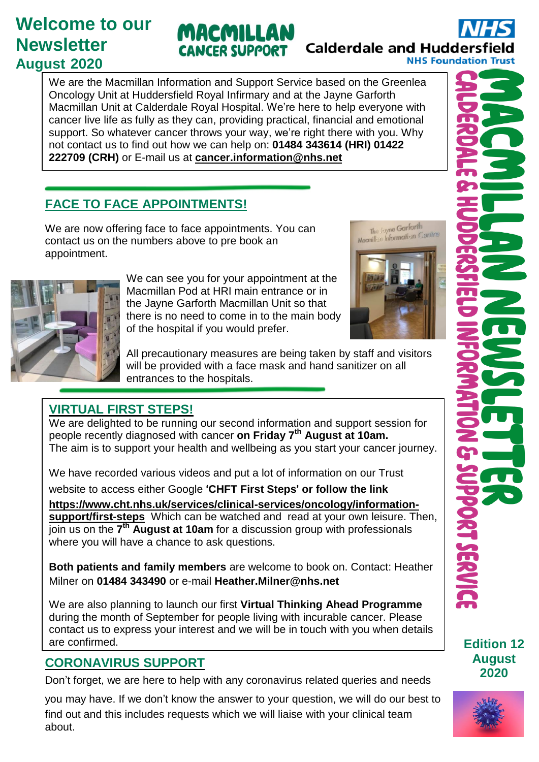## **Welcome to our Newsletter August 2020**

# **Calderdale and Huddersfield NHS Foundation Trust**

We are the Macmillan Information and Support Service based on the Greenlea Oncology Unit at Huddersfield Royal Infirmary and at the Jayne Garforth Macmillan Unit at Calderdale Royal Hospital. We're here to help everyone with cancer live life as fully as they can, providing practical, financial and emotional support. So whatever cancer throws your way, we're right there with you. Why not contact us to find out how we can help on: **01484 343614 (HRI) 01422 222709 (CRH)** or E-mail us at **[cancer.information@nhs.net](mailto:cancer.information@nhs.net)**

MACMILLAN

**CANCER SUPPORT** 

### **FACE TO FACE APPOINTMENTS!**

We are now offering face to face appointments. You can contact us on the numbers above to pre book an appointment.



We can see you for your appointment at the Macmillan Pod at HRI main entrance or in the Jayne Garforth Macmillan Unit so that there is no need to come in to the main body of the hospital if you would prefer.



All precautionary measures are being taken by staff and visitors will be provided with a face mask and hand sanitizer on all entrances to the hospitals.

### **VIRTUAL FIRST STEPS!**

We are delighted to be running our second information and support session for people recently diagnosed with cancer **on Friday 7 th August at 10am.** The aim is to support your health and wellbeing as you start your cancer journey.

We have recorded various videos and put a lot of information on our Trust

website to access either Google '**CHFT First Steps**' **or follow the link**

**[https://www.cht.nhs.uk/services/clinical-services/oncology/information-](https://www.cht.nhs.uk/services/clinical-services/oncology/information-support/first-steps)**

**[support/first-steps](https://www.cht.nhs.uk/services/clinical-services/oncology/information-support/first-steps)** Which can be watched and read at your own leisure. Then, join us on the **7 th August at 10am** for a discussion group with professionals where you will have a chance to ask questions.

**Both patients and family members** are welcome to book on. Contact: Heather Milner on **01484 343490** or e-mail **Heather.Milner@nhs.net**

We are also planning to launch our first **Virtual Thinking Ahead Programme** during the month of September for people living with incurable cancer. Please contact us to express your interest and we will be in touch with you when details are confirmed.

### **CORONAVIRUS SUPPORT**

Don't forget, we are here to help with any coronavirus related queries and needs

you may have. If we don't know the answer to your question, we will do our best to find out and this includes requests which we will liaise with your clinical team about.

**Edition 12 August 2020**